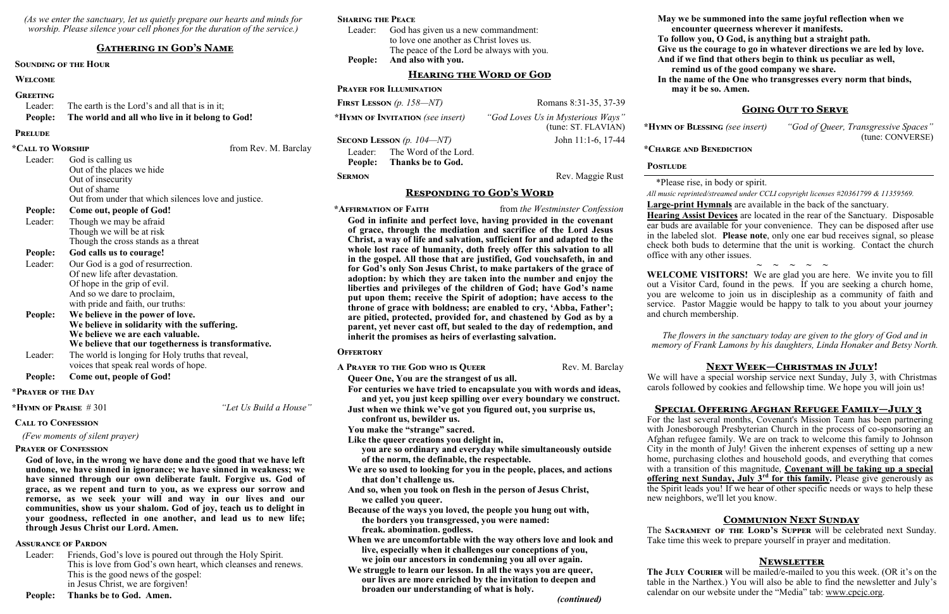*(As we enter the sanctuary, let us quietly prepare our hearts and minds for worship. Please silence your cell phones for the duration of the service.)*

#### **Gathering in God's Name**

#### **Sounding of the Hour**

#### **Welcome**

#### **Greeting**

| Leader: The earth is the Lord's and all that is in it; |  |
|--------------------------------------------------------|--|
|--------------------------------------------------------|--|

**People: The world and all who live in it belong to God!**

**Prelude**

| *Call to Worship |                                                      | from Rev. M. Barclay |
|------------------|------------------------------------------------------|----------------------|
| Leader:          | God is calling us                                    |                      |
|                  | Out of the places we hide                            |                      |
|                  | Out of insecurity                                    |                      |
|                  | Out of shame                                         |                      |
|                  | Out from under that which silences love and justice. |                      |
| People:          | Come out, people of God!                             |                      |
| Leader:          | Though we may be afraid                              |                      |
|                  | Though we will be at risk                            |                      |
|                  | Though the cross stands as a threat                  |                      |
| <b>People:</b>   | God calls us to courage!                             |                      |
| Leader:          | Our God is a god of resurrection.                    |                      |
|                  | Of new life after devastation.                       |                      |
|                  | Of hope in the grip of evil.                         |                      |
|                  | And so we dare to proclaim,                          |                      |
|                  | with pride and faith, our truths:                    |                      |
| <b>People:</b>   | We believe in the power of love.                     |                      |
|                  | We believe in solidarity with the suffering.         |                      |
|                  | We believe we are each valuable.                     |                      |
|                  | We believe that our togetherness is transformative.  |                      |
| Leader:          | The world is longing for Holy truths that reveal,    |                      |
|                  | voices that speak real words of hope.                |                      |

Leader: Friends, God's love is poured out through the Holy Spirit. This is love from God's own heart, which cleanses and renews. This is the good news of the gospel: in Jesus Christ, we are forgiven!

**People: Come out, people of God!**

#### **\*Prayer of the Day**

**\*Hymn of Praise** # 301 *"Let Us Build a House"*

#### **Call to Confession**

 *(Few moments of silent prayer)*

#### **Prayer of Confession**

**God of love, in the wrong we have done and the good that we have left undone, we have sinned in ignorance; we have sinned in weakness; we have sinned through our own deliberate fault. Forgive us. God of grace, as we repent and turn to you, as we express our sorrow and remorse, as we seek your will and way in our lives and our communities, show us your shalom. God of joy, teach us to delight in your goodness, reflected in one another, and lead us to new life; through Jesus Christ our Lord. Amen.**

#### **Assurance of Pardon**

### **People: Thanks be to God. Amen.**

#### **Sharing the Peace**

| People: And also with you.                  |
|---------------------------------------------|
| The peace of the Lord be always with you.   |
| to love one another as Christ loves us.     |
| Leader: God has given us a new commandment: |

#### **Hearing the Word of God**

**Prayer for Illumination**

**FIRST LESSON** (p. 158—NT) Romans 8:31-35, 37-39

**\*Hymn of Invitation** *(see insert) "God Loves Us in Mysterious Ways"*

(tune: ST. FLAVIAN)

**Second Lesson** *(p. 104—NT)* John 11:1-6, 17-44

Leader: The Word of the Lord. **People: Thanks be to God.**

#### **SERMON** Rev. Maggie Rust

#### **Responding to God's Word**

**\*Affirmation of Faith** from *the Westminster Confession*

**God in infinite and perfect love, having provided in the covenant of grace, through the mediation and sacrifice of the Lord Jesus Christ, a way of life and salvation, sufficient for and adapted to the whole lost race of humanity, doth freely offer this salvation to all in the gospel. All those that are justified, God vouchsafeth, in and for God's only Son Jesus Christ, to make partakers of the grace of adoption: by which they are taken into the number and enjoy the liberties and privileges of the children of God; have God's name put upon them; receive the Spirit of adoption; have access to the throne of grace with boldness; are enabled to cry, 'Abba, Father'; are pitied, protected, provided for, and chastened by God as by a parent, yet never cast off, but sealed to the day of redemption, and inherit the promises as heirs of everlasting salvation.**

#### **Offertory**

A PRAYER TO THE GOD WHO IS QUEER Rev. M. Barclay

**Queer One, You are the strangest of us all.**

**For centuries we have tried to encapsulate you with words and ideas, and yet, you just keep spilling over every boundary we construct.**

> **The JULY COURIER** will be mailed/e-mailed to you this week. (OR it's on the table in the Narthex.) You will also be able to find the newsletter and July's calendar on our website under the "Media" tab: [www.cpcjc.org.](http://www.cpcjc.org)

**Just when we think we've got you figured out, you surprise us, confront us, bewilder us.**

**You make the "strange" sacred.**

**Like the queer creations you delight in,**

**you are so ordinary and everyday while simultaneously outside of the norm, the definable, the respectable.**

- **We are so used to looking for you in the people, places, and actions that don't challenge us.**
- **And so, when you took on flesh in the person of Jesus Christ, we called you queer.**

**Because of the ways you loved, the people you hung out with, the borders you transgressed, you were named: freak. abomination. godless.**

**When we are uncomfortable with the way others love and look and live, especially when it challenges our conceptions of you, we join our ancestors in condemning you all over again.**

**We struggle to learn our lesson. In all the ways you are queer, our lives are more enriched by the invitation to deepen and broaden our understanding of what is holy.**

*(continued)*

#### Postlude

**May we be summoned into the same joyful reflection when we encounter queerness wherever it manifests. To follow you, O God, is anything but a straight path. Give us the courage to go in whatever directions we are led by love. And if we find that others begin to think us peculiar as well, remind us of the good company we share. In the name of the One who transgresses every norm that binds, may it be so. Amen.**

#### **Going Out to Serve**

**\*Hymn of Blessing** *(see insert) "God of Queer, Transgressive Spaces"*

(tune: CONVERSE)

#### **\*Charge and Benediction**

 \*Please rise, in body or spirit. *All music reprinted/streamed under CCLI copyright licenses #20361799 & 11359569.* **Large-print Hymnals** are available in the back of the sanctuary. **Hearing Assist Devices** are located in the rear of the Sanctuary. Disposable ear buds are available for your convenience. They can be disposed after use in the labeled slot. **Please note**, only one ear bud receives signal, so please check both buds to determine that the unit is working. Contact the church office with any other issues.

**~ ~ ~ ~ ~ WELCOME VISITORS!** We are glad you are here. We invite you to fill out a Visitor Card, found in the pews. If you are seeking a church home, you are welcome to join us in discipleship as a community of faith and service. Pastor Maggie would be happy to talk to you about your journey and church membership.

*The flowers in the sanctuary today are given to the glory of God and in memory of Frank Lamons by his daughters, Linda Honaker and Betsy North.*

#### **Next Week—Christmas in July!**

We will have a special worship service next Sunday, July 3, with Christmas carols followed by cookies and fellowship time. We hope you will join us!

#### **Special Offering Afghan Refugee Family—July 3**

For the last several months, Covenant's Mission Team has been partnering with Jonesborough Presbyterian Church in the process of co-sponsoring an Afghan refugee family. We are on track to welcome this family to Johnson City in the month of July! Given the inherent expenses of setting up a new home, purchasing clothes and household goods, and everything that comes with a transition of this magnitude, **Covenant will be taking up a special offering next Sunday, July 3rd for this family.** Please give generously as the Spirit leads you! If we hear of other specific needs or ways to help these new neighbors, we'll let you know.

#### **Communion Next Sunday**

The **Sacrament of the Lord's Supper** will be celebrated next Sunday. Take time this week to prepare yourself in prayer and meditation.

#### **Newsletter**